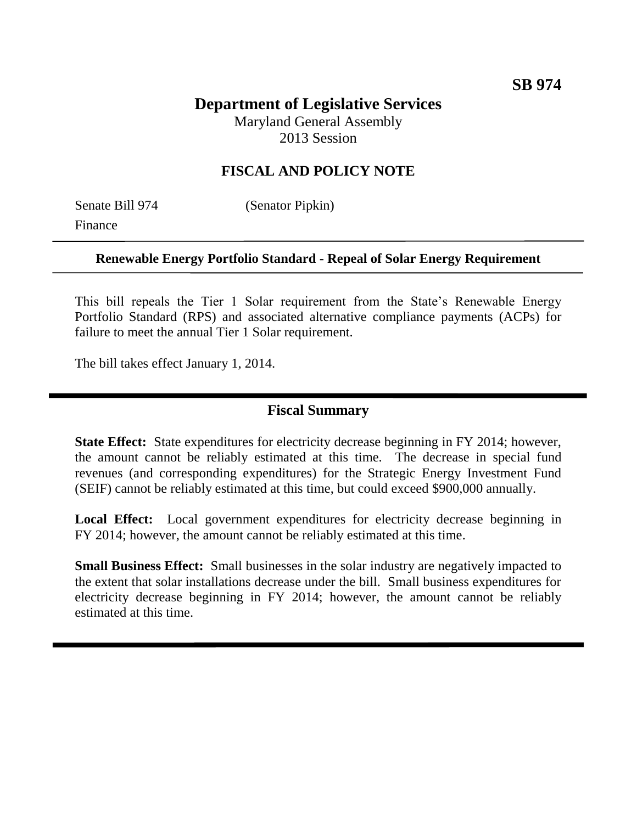# **Department of Legislative Services**

Maryland General Assembly 2013 Session

# **FISCAL AND POLICY NOTE**

Finance

Senate Bill 974 (Senator Pipkin)

#### **Renewable Energy Portfolio Standard - Repeal of Solar Energy Requirement**

This bill repeals the Tier 1 Solar requirement from the State's Renewable Energy Portfolio Standard (RPS) and associated alternative compliance payments (ACPs) for failure to meet the annual Tier 1 Solar requirement.

The bill takes effect January 1, 2014.

### **Fiscal Summary**

**State Effect:** State expenditures for electricity decrease beginning in FY 2014; however, the amount cannot be reliably estimated at this time. The decrease in special fund revenues (and corresponding expenditures) for the Strategic Energy Investment Fund (SEIF) cannot be reliably estimated at this time, but could exceed \$900,000 annually.

**Local Effect:** Local government expenditures for electricity decrease beginning in FY 2014; however, the amount cannot be reliably estimated at this time.

**Small Business Effect:** Small businesses in the solar industry are negatively impacted to the extent that solar installations decrease under the bill. Small business expenditures for electricity decrease beginning in FY 2014; however, the amount cannot be reliably estimated at this time.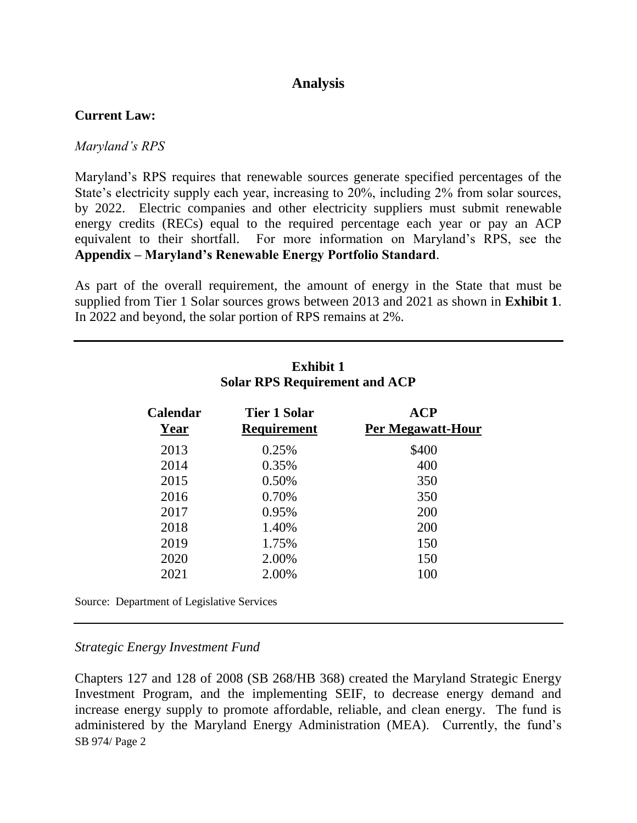## **Analysis**

#### **Current Law:**

#### *Maryland's RPS*

Maryland's RPS requires that renewable sources generate specified percentages of the State's electricity supply each year, increasing to 20%, including 2% from solar sources, by 2022. Electric companies and other electricity suppliers must submit renewable energy credits (RECs) equal to the required percentage each year or pay an ACP equivalent to their shortfall. For more information on Maryland's RPS, see the **Appendix – Maryland's Renewable Energy Portfolio Standard**.

As part of the overall requirement, the amount of energy in the State that must be supplied from Tier 1 Solar sources grows between 2013 and 2021 as shown in **Exhibit 1**. In 2022 and beyond, the solar portion of RPS remains at 2%.

| <b>Calendar</b><br>Year | Tier 1 Solar<br><b>Requirement</b> | ${ACP}$<br><b>Per Megawatt-Hour</b> |
|-------------------------|------------------------------------|-------------------------------------|
| 2013                    | 0.25%                              | \$400                               |
| 2014                    | 0.35%                              | 400                                 |
| 2015                    | 0.50%                              | 350                                 |
| 2016                    | 0.70%                              | 350                                 |
| 2017                    | 0.95%                              | 200                                 |
| 2018                    | 1.40%                              | 200                                 |
| 2019                    | 1.75%                              | 150                                 |
| 2020                    | 2.00%                              | 150                                 |
| 2021                    | 2.00%                              | 100                                 |

#### **Exhibit 1 Solar RPS Requirement and ACP**

Source: Department of Legislative Services

#### *Strategic Energy Investment Fund*

SB 974/ Page 2 Chapters 127 and 128 of 2008 (SB 268/HB 368) created the Maryland Strategic Energy Investment Program, and the implementing SEIF, to decrease energy demand and increase energy supply to promote affordable, reliable, and clean energy. The fund is administered by the Maryland Energy Administration (MEA). Currently, the fund's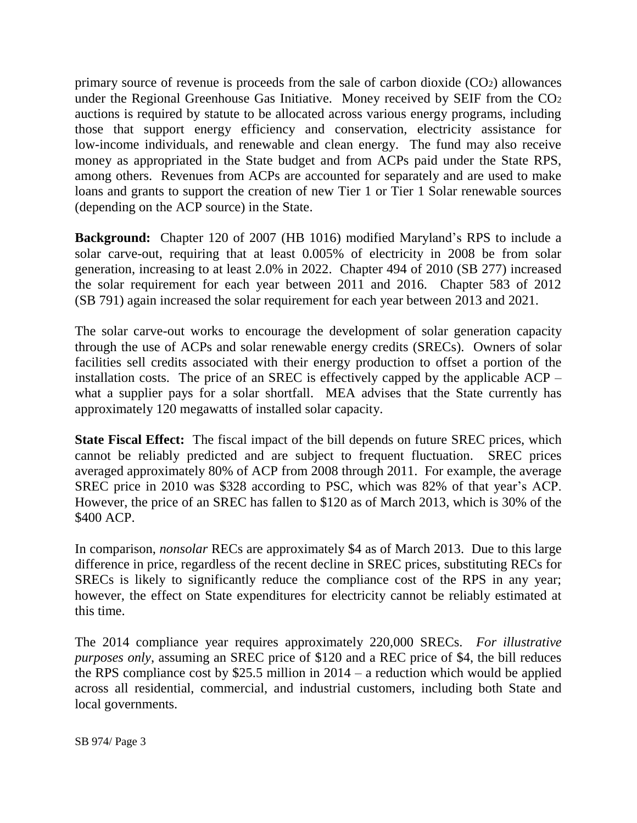primary source of revenue is proceeds from the sale of carbon dioxide (CO2) allowances under the Regional Greenhouse Gas Initiative. Money received by SEIF from the CO<sub>2</sub> auctions is required by statute to be allocated across various energy programs, including those that support energy efficiency and conservation, electricity assistance for low-income individuals, and renewable and clean energy. The fund may also receive money as appropriated in the State budget and from ACPs paid under the State RPS, among others. Revenues from ACPs are accounted for separately and are used to make loans and grants to support the creation of new Tier 1 or Tier 1 Solar renewable sources (depending on the ACP source) in the State.

**Background:** Chapter 120 of 2007 (HB 1016) modified Maryland's RPS to include a solar carve-out, requiring that at least 0.005% of electricity in 2008 be from solar generation, increasing to at least 2.0% in 2022. Chapter 494 of 2010 (SB 277) increased the solar requirement for each year between 2011 and 2016. Chapter 583 of 2012 (SB 791) again increased the solar requirement for each year between 2013 and 2021.

The solar carve-out works to encourage the development of solar generation capacity through the use of ACPs and solar renewable energy credits (SRECs). Owners of solar facilities sell credits associated with their energy production to offset a portion of the installation costs. The price of an SREC is effectively capped by the applicable ACP – what a supplier pays for a solar shortfall. MEA advises that the State currently has approximately 120 megawatts of installed solar capacity.

**State Fiscal Effect:** The fiscal impact of the bill depends on future SREC prices, which cannot be reliably predicted and are subject to frequent fluctuation. SREC prices averaged approximately 80% of ACP from 2008 through 2011. For example, the average SREC price in 2010 was \$328 according to PSC, which was 82% of that year's ACP. However, the price of an SREC has fallen to \$120 as of March 2013, which is 30% of the \$400 ACP.

In comparison, *nonsolar* RECs are approximately \$4 as of March 2013. Due to this large difference in price, regardless of the recent decline in SREC prices, substituting RECs for SRECs is likely to significantly reduce the compliance cost of the RPS in any year; however, the effect on State expenditures for electricity cannot be reliably estimated at this time.

The 2014 compliance year requires approximately 220,000 SRECs. *For illustrative purposes only*, assuming an SREC price of \$120 and a REC price of \$4, the bill reduces the RPS compliance cost by \$25.5 million in  $2014 - a$  reduction which would be applied across all residential, commercial, and industrial customers, including both State and local governments.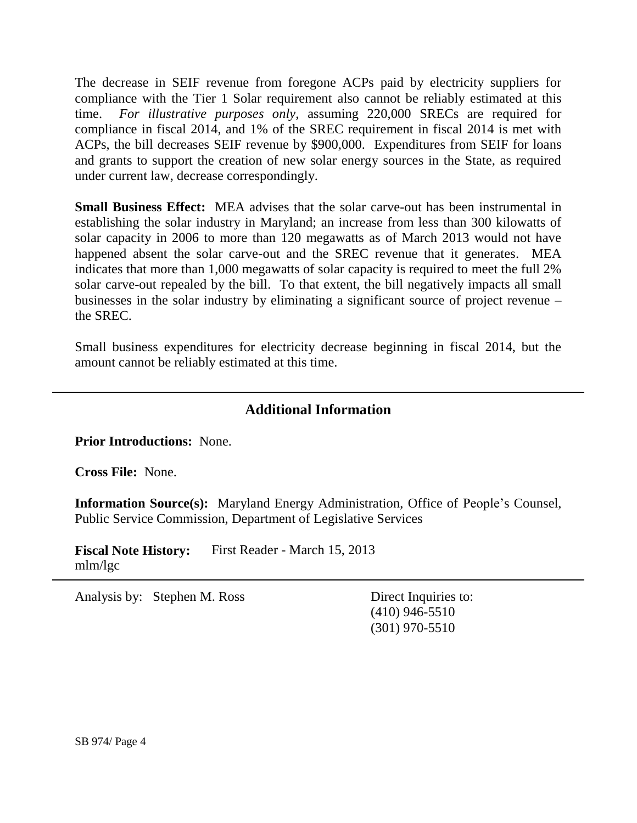The decrease in SEIF revenue from foregone ACPs paid by electricity suppliers for compliance with the Tier 1 Solar requirement also cannot be reliably estimated at this time. *For illustrative purposes only,* assuming 220,000 SRECs are required for compliance in fiscal 2014, and 1% of the SREC requirement in fiscal 2014 is met with ACPs, the bill decreases SEIF revenue by \$900,000. Expenditures from SEIF for loans and grants to support the creation of new solar energy sources in the State, as required under current law, decrease correspondingly.

**Small Business Effect:** MEA advises that the solar carve-out has been instrumental in establishing the solar industry in Maryland; an increase from less than 300 kilowatts of solar capacity in 2006 to more than 120 megawatts as of March 2013 would not have happened absent the solar carve-out and the SREC revenue that it generates. MEA indicates that more than 1,000 megawatts of solar capacity is required to meet the full 2% solar carve-out repealed by the bill. To that extent, the bill negatively impacts all small businesses in the solar industry by eliminating a significant source of project revenue – the SREC.

Small business expenditures for electricity decrease beginning in fiscal 2014, but the amount cannot be reliably estimated at this time.

# **Additional Information**

**Prior Introductions:** None.

**Cross File:** None.

**Information Source(s):** Maryland Energy Administration, Office of People's Counsel, Public Service Commission, Department of Legislative Services

**Fiscal Note History:** First Reader - March 15, 2013 mlm/lgc

Analysis by: Stephen M. Ross Direct Inquiries to:

(410) 946-5510 (301) 970-5510